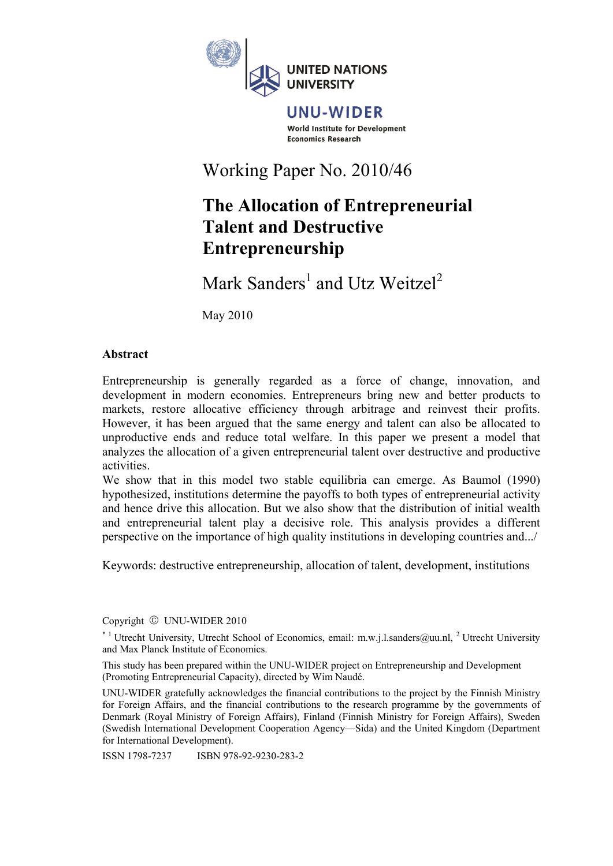

### UNU-WIDER World Institute for Development **Economics Research**

# Working Paper No. 2010/46

# **The Allocation of Entrepreneurial Talent and Destructive Entrepreneurship**

Mark Sanders<sup>1</sup> and Utz Weitzel<sup>2</sup>

May 2010

### **Abstract**

Entrepreneurship is generally regarded as a force of change, innovation, and development in modern economies. Entrepreneurs bring new and better products to markets, restore allocative efficiency through arbitrage and reinvest their profits. However, it has been argued that the same energy and talent can also be allocated to unproductive ends and reduce total welfare. In this paper we present a model that analyzes the allocation of a given entrepreneurial talent over destructive and productive activities.

We show that in this model two stable equilibria can emerge. As Baumol (1990) hypothesized, institutions determine the payoffs to both types of entrepreneurial activity and hence drive this allocation. But we also show that the distribution of initial wealth and entrepreneurial talent play a decisive role. This analysis provides a different perspective on the importance of high quality institutions in developing countries and.../

Keywords: destructive entrepreneurship, allocation of talent, development, institutions

Copyright © UNU-WIDER 2010

 $*$ <sup>1</sup> Utrecht University, Utrecht School of Economics, email: m.w.j.l.sanders@uu.nl, <sup>2</sup> Utrecht University and Max Planck Institute of Economics.

This study has been prepared within the UNU-WIDER project on Entrepreneurship and Development (Promoting Entrepreneurial Capacity), directed by Wim Naudé.

UNU-WIDER gratefully acknowledges the financial contributions to the project by the Finnish Ministry for Foreign Affairs, and the financial contributions to the research programme by the governments of Denmark (Royal Ministry of Foreign Affairs), Finland (Finnish Ministry for Foreign Affairs), Sweden (Swedish International Development Cooperation Agency—Sida) and the United Kingdom (Department for International Development).

ISSN 1798-7237 ISBN 978-92-9230-283-2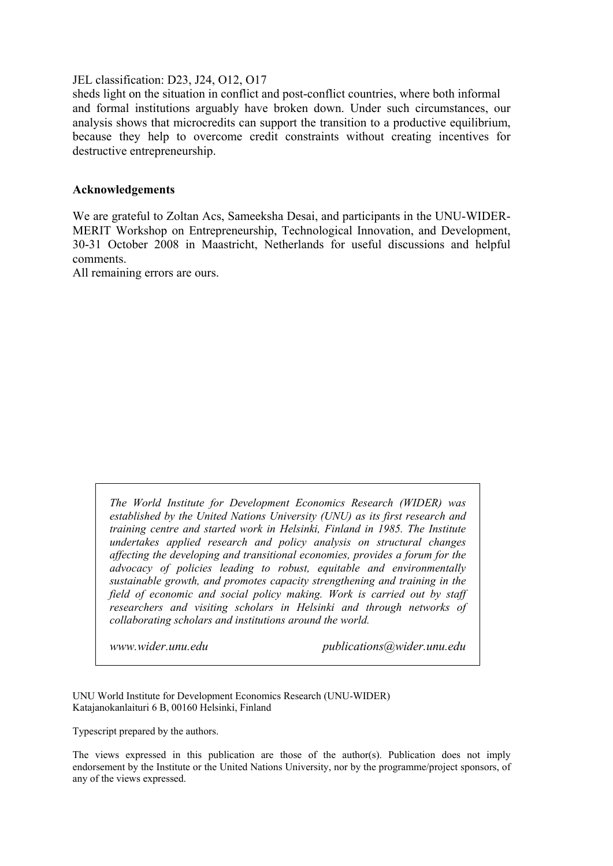JEL classification: D23, J24, O12, O17

sheds light on the situation in conflict and post-conflict countries, where both informal and formal institutions arguably have broken down. Under such circumstances, our analysis shows that microcredits can support the transition to a productive equilibrium, because they help to overcome credit constraints without creating incentives for destructive entrepreneurship.

### **Acknowledgements**

We are grateful to Zoltan Acs, Sameeksha Desai, and participants in the UNU-WIDER-MERIT Workshop on Entrepreneurship, Technological Innovation, and Development, 30-31 October 2008 in Maastricht, Netherlands for useful discussions and helpful comments.

All remaining errors are ours.

*The World Institute for Development Economics Research (WIDER) was established by the United Nations University (UNU) as its first research and training centre and started work in Helsinki, Finland in 1985. The Institute undertakes applied research and policy analysis on structural changes affecting the developing and transitional economies, provides a forum for the advocacy of policies leading to robust, equitable and environmentally sustainable growth, and promotes capacity strengthening and training in the field of economic and social policy making. Work is carried out by staff researchers and visiting scholars in Helsinki and through networks of collaborating scholars and institutions around the world.* 

*www.wider.unu.edu publications@wider.unu.edu* 

UNU World Institute for Development Economics Research (UNU-WIDER) Katajanokanlaituri 6 B, 00160 Helsinki, Finland

Typescript prepared by the authors.

The views expressed in this publication are those of the author(s). Publication does not imply endorsement by the Institute or the United Nations University, nor by the programme/project sponsors, of any of the views expressed.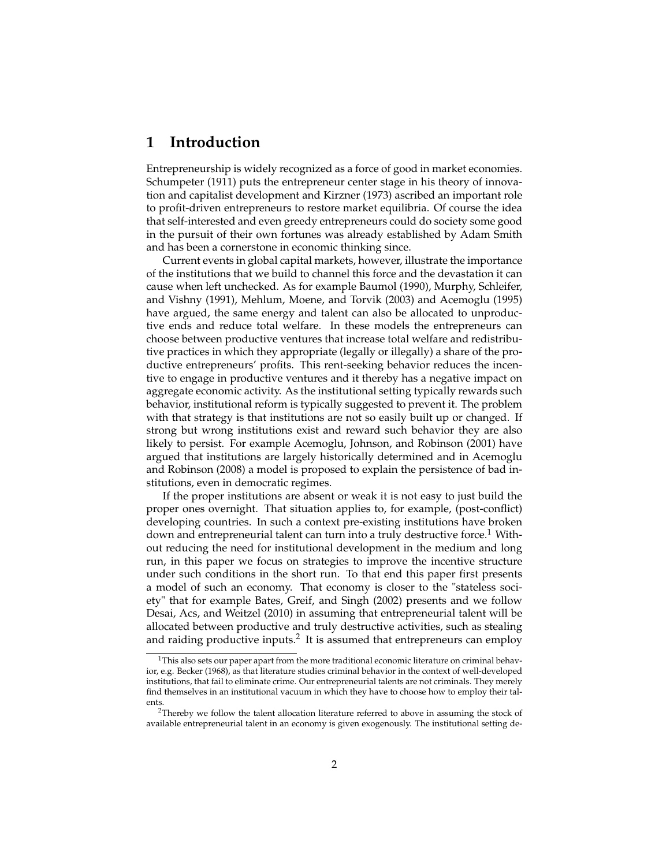### **1 Introduction**

Entrepreneurship is widely recognized as a force of good in market economies. Schumpeter (1911) puts the entrepreneur center stage in his theory of innovation and capitalist development and Kirzner (1973) ascribed an important role to profit-driven entrepreneurs to restore market equilibria. Of course the idea that self-interested and even greedy entrepreneurs could do society some good in the pursuit of their own fortunes was already established by Adam Smith and has been a cornerstone in economic thinking since.

Current events in global capital markets, however, illustrate the importance of the institutions that we build to channel this force and the devastation it can cause when left unchecked. As for example Baumol (1990), Murphy, Schleifer, and Vishny (1991), Mehlum, Moene, and Torvik (2003) and Acemoglu (1995) have argued, the same energy and talent can also be allocated to unproductive ends and reduce total welfare. In these models the entrepreneurs can choose between productive ventures that increase total welfare and redistributive practices in which they appropriate (legally or illegally) a share of the productive entrepreneurs' profits. This rent-seeking behavior reduces the incentive to engage in productive ventures and it thereby has a negative impact on aggregate economic activity. As the institutional setting typically rewards such behavior, institutional reform is typically suggested to prevent it. The problem with that strategy is that institutions are not so easily built up or changed. If strong but wrong institutions exist and reward such behavior they are also likely to persist. For example Acemoglu, Johnson, and Robinson (2001) have argued that institutions are largely historically determined and in Acemoglu and Robinson (2008) a model is proposed to explain the persistence of bad institutions, even in democratic regimes.

If the proper institutions are absent or weak it is not easy to just build the proper ones overnight. That situation applies to, for example, (post-conflict) developing countries. In such a context pre-existing institutions have broken down and entrepreneurial talent can turn into a truly destructive force.<sup>1</sup> Without reducing the need for institutional development in the medium and long run, in this paper we focus on strategies to improve the incentive structure under such conditions in the short run. To that end this paper first presents a model of such an economy. That economy is closer to the "stateless society" that for example Bates, Greif, and Singh (2002) presents and we follow Desai, Acs, and Weitzel (2010) in assuming that entrepreneurial talent will be allocated between productive and truly destructive activities, such as stealing and raiding productive inputs.<sup>2</sup> It is assumed that entrepreneurs can employ

<sup>&</sup>lt;sup>1</sup>This also sets our paper apart from the more traditional economic literature on criminal behavior, e.g. Becker (1968), as that literature studies criminal behavior in the context of well-developed institutions, that fail to eliminate crime. Our entrepreneurial talents are not criminals. They merely find themselves in an institutional vacuum in which they have to choose how to employ their talents.

 $2$ Thereby we follow the talent allocation literature referred to above in assuming the stock of available entrepreneurial talent in an economy is given exogenously. The institutional setting de-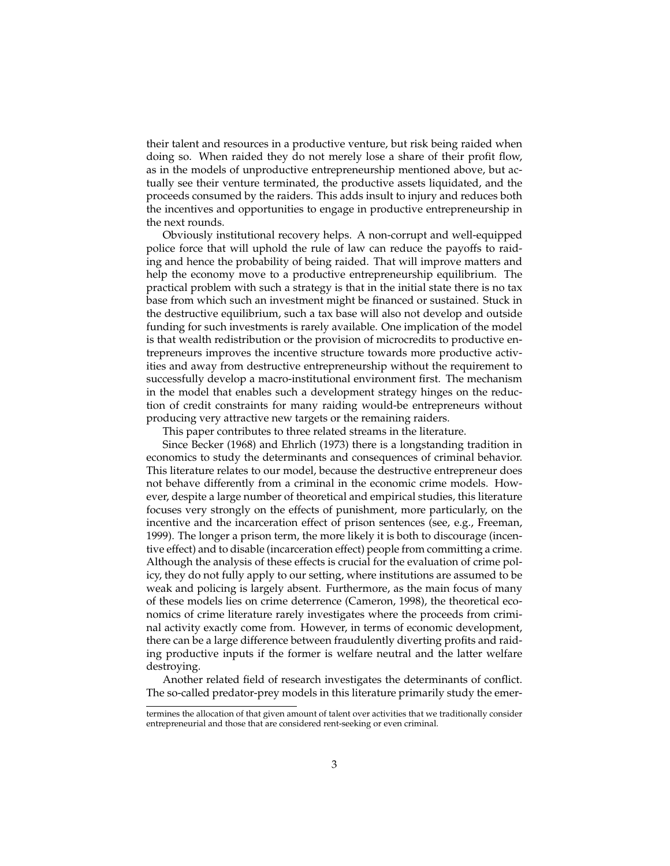their talent and resources in a productive venture, but risk being raided when doing so. When raided they do not merely lose a share of their profit flow, as in the models of unproductive entrepreneurship mentioned above, but actually see their venture terminated, the productive assets liquidated, and the proceeds consumed by the raiders. This adds insult to injury and reduces both the incentives and opportunities to engage in productive entrepreneurship in the next rounds.

Obviously institutional recovery helps. A non-corrupt and well-equipped police force that will uphold the rule of law can reduce the payoffs to raiding and hence the probability of being raided. That will improve matters and help the economy move to a productive entrepreneurship equilibrium. The practical problem with such a strategy is that in the initial state there is no tax base from which such an investment might be financed or sustained. Stuck in the destructive equilibrium, such a tax base will also not develop and outside funding for such investments is rarely available. One implication of the model is that wealth redistribution or the provision of microcredits to productive entrepreneurs improves the incentive structure towards more productive activities and away from destructive entrepreneurship without the requirement to successfully develop a macro-institutional environment first. The mechanism in the model that enables such a development strategy hinges on the reduction of credit constraints for many raiding would-be entrepreneurs without producing very attractive new targets or the remaining raiders.

This paper contributes to three related streams in the literature.

Since Becker (1968) and Ehrlich (1973) there is a longstanding tradition in economics to study the determinants and consequences of criminal behavior. This literature relates to our model, because the destructive entrepreneur does not behave differently from a criminal in the economic crime models. However, despite a large number of theoretical and empirical studies, this literature focuses very strongly on the effects of punishment, more particularly, on the incentive and the incarceration effect of prison sentences (see, e.g., Freeman, 1999). The longer a prison term, the more likely it is both to discourage (incentive effect) and to disable (incarceration effect) people from committing a crime. Although the analysis of these effects is crucial for the evaluation of crime policy, they do not fully apply to our setting, where institutions are assumed to be weak and policing is largely absent. Furthermore, as the main focus of many of these models lies on crime deterrence (Cameron, 1998), the theoretical economics of crime literature rarely investigates where the proceeds from criminal activity exactly come from. However, in terms of economic development, there can be a large difference between fraudulently diverting profits and raiding productive inputs if the former is welfare neutral and the latter welfare destroying.

Another related field of research investigates the determinants of conflict. The so-called predator-prey models in this literature primarily study the emer-

termines the allocation of that given amount of talent over activities that we traditionally consider entrepreneurial and those that are considered rent-seeking or even criminal.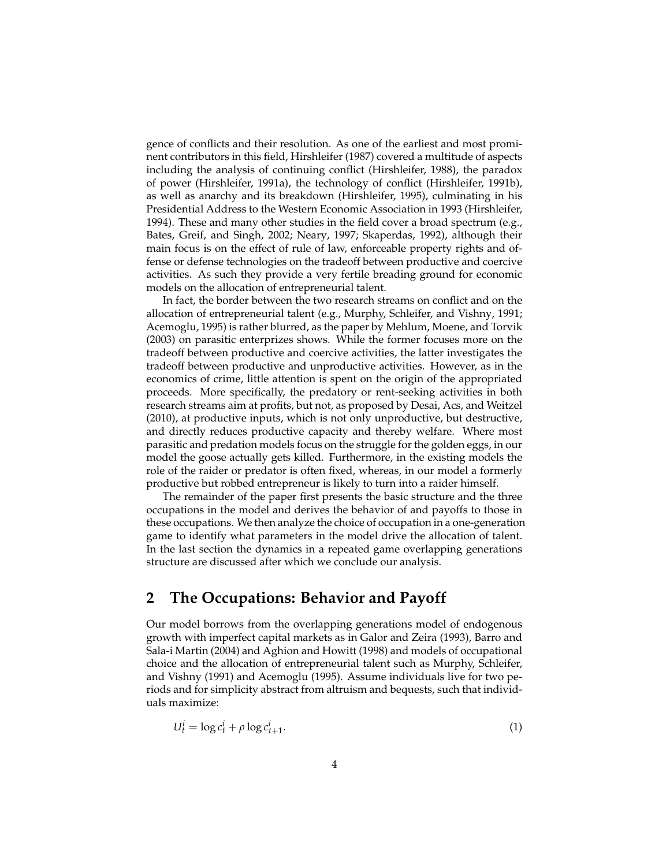gence of conflicts and their resolution. As one of the earliest and most prominent contributors in this field, Hirshleifer (1987) covered a multitude of aspects including the analysis of continuing conflict (Hirshleifer, 1988), the paradox of power (Hirshleifer, 1991a), the technology of conflict (Hirshleifer, 1991b), as well as anarchy and its breakdown (Hirshleifer, 1995), culminating in his Presidential Address to the Western Economic Association in 1993 (Hirshleifer, 1994). These and many other studies in the field cover a broad spectrum (e.g., Bates, Greif, and Singh, 2002; Neary, 1997; Skaperdas, 1992), although their main focus is on the effect of rule of law, enforceable property rights and offense or defense technologies on the tradeoff between productive and coercive activities. As such they provide a very fertile breading ground for economic models on the allocation of entrepreneurial talent.

In fact, the border between the two research streams on conflict and on the allocation of entrepreneurial talent (e.g., Murphy, Schleifer, and Vishny, 1991; Acemoglu, 1995) is rather blurred, as the paper by Mehlum, Moene, and Torvik (2003) on parasitic enterprizes shows. While the former focuses more on the tradeoff between productive and coercive activities, the latter investigates the tradeoff between productive and unproductive activities. However, as in the economics of crime, little attention is spent on the origin of the appropriated proceeds. More specifically, the predatory or rent-seeking activities in both research streams aim at profits, but not, as proposed by Desai, Acs, and Weitzel (2010), at productive inputs, which is not only unproductive, but destructive, and directly reduces productive capacity and thereby welfare. Where most parasitic and predation models focus on the struggle for the golden eggs, in our model the goose actually gets killed. Furthermore, in the existing models the role of the raider or predator is often fixed, whereas, in our model a formerly productive but robbed entrepreneur is likely to turn into a raider himself.

The remainder of the paper first presents the basic structure and the three occupations in the model and derives the behavior of and payoffs to those in these occupations. We then analyze the choice of occupation in a one-generation game to identify what parameters in the model drive the allocation of talent. In the last section the dynamics in a repeated game overlapping generations structure are discussed after which we conclude our analysis.

### **2 The Occupations: Behavior and Payoff**

Our model borrows from the overlapping generations model of endogenous growth with imperfect capital markets as in Galor and Zeira (1993), Barro and Sala-i Martin (2004) and Aghion and Howitt (1998) and models of occupational choice and the allocation of entrepreneurial talent such as Murphy, Schleifer, and Vishny (1991) and Acemoglu (1995). Assume individuals live for two periods and for simplicity abstract from altruism and bequests, such that individuals maximize:

$$
U_t^i = \log c_t^i + \rho \log c_{t+1}^i. \tag{1}
$$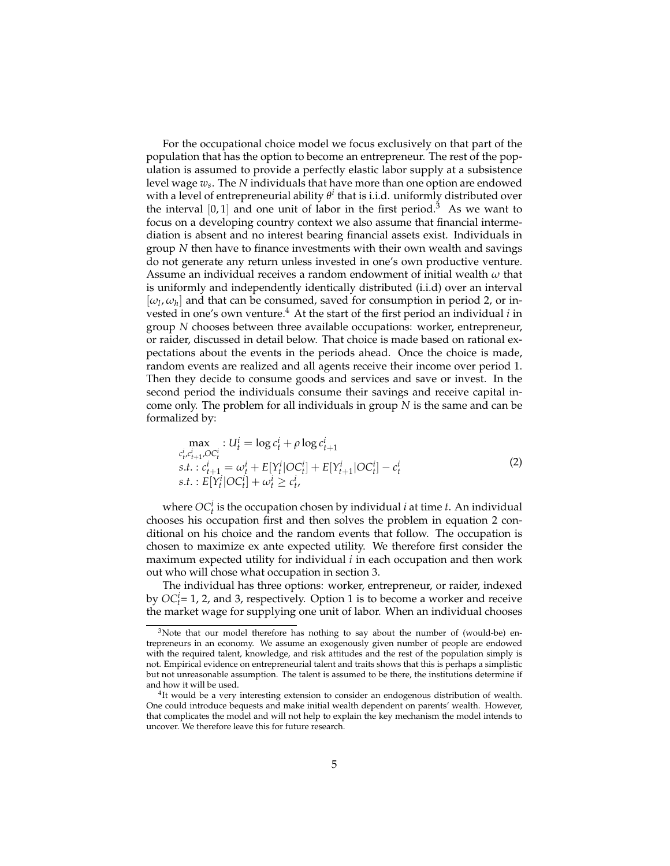For the occupational choice model we focus exclusively on that part of the population that has the option to become an entrepreneur. The rest of the population is assumed to provide a perfectly elastic labor supply at a subsistence level wage *w<sup>s</sup>* . The *N* individuals that have more than one option are endowed with a level of entrepreneurial ability *θ i* that is i.i.d. uniformly distributed over the interval  $[0, 1]$  and one unit of labor in the first period.<sup>3</sup> As we want to focus on a developing country context we also assume that financial intermediation is absent and no interest bearing financial assets exist. Individuals in group *N* then have to finance investments with their own wealth and savings do not generate any return unless invested in one's own productive venture. Assume an individual receives a random endowment of initial wealth *ω* that is uniformly and independently identically distributed (i.i.d) over an interval  $[\omega_l, \omega_h]$  and that can be consumed, saved for consumption in period 2, or invested in one's own venture.<sup>4</sup> At the start of the first period an individual *i* in group *N* chooses between three available occupations: worker, entrepreneur, or raider, discussed in detail below. That choice is made based on rational expectations about the events in the periods ahead. Once the choice is made, random events are realized and all agents receive their income over period 1. Then they decide to consume goods and services and save or invest. In the second period the individuals consume their savings and receive capital income only. The problem for all individuals in group *N* is the same and can be formalized by:

$$
\max_{c_t^i, c_{t+1}^i, OC_t^i} : U_t^i = \log c_t^i + \rho \log c_{t+1}^i
$$
\n
$$
s.t. : c_{t+1}^i = \omega_t^i + E[Y_t^i|OC_t^i] + E[Y_{t+1}^i|OC_t^i] - c_t^i
$$
\n
$$
s.t. : E[Y_t^i|OC_t^i] + \omega_t^i \ge c_t^i,
$$
\n
$$
(2)
$$

where  $OC<sup>i</sup><sub>t</sub>$  is the occupation chosen by individual *i* at time *t*. An individual chooses his occupation first and then solves the problem in equation 2 conditional on his choice and the random events that follow. The occupation is chosen to maximize ex ante expected utility. We therefore first consider the maximum expected utility for individual *i* in each occupation and then work out who will chose what occupation in section 3.

The individual has three options: worker, entrepreneur, or raider, indexed by  $OC<sub>t</sub><sup>i</sup> = 1$ , 2, and 3, respectively. Option 1 is to become a worker and receive the market wage for supplying one unit of labor. When an individual chooses

 $3$ Note that our model therefore has nothing to say about the number of (would-be) entrepreneurs in an economy. We assume an exogenously given number of people are endowed with the required talent, knowledge, and risk attitudes and the rest of the population simply is not. Empirical evidence on entrepreneurial talent and traits shows that this is perhaps a simplistic but not unreasonable assumption. The talent is assumed to be there, the institutions determine if and how it will be used.

<sup>&</sup>lt;sup>4</sup>It would be a very interesting extension to consider an endogenous distribution of wealth. One could introduce bequests and make initial wealth dependent on parents' wealth. However, that complicates the model and will not help to explain the key mechanism the model intends to uncover. We therefore leave this for future research.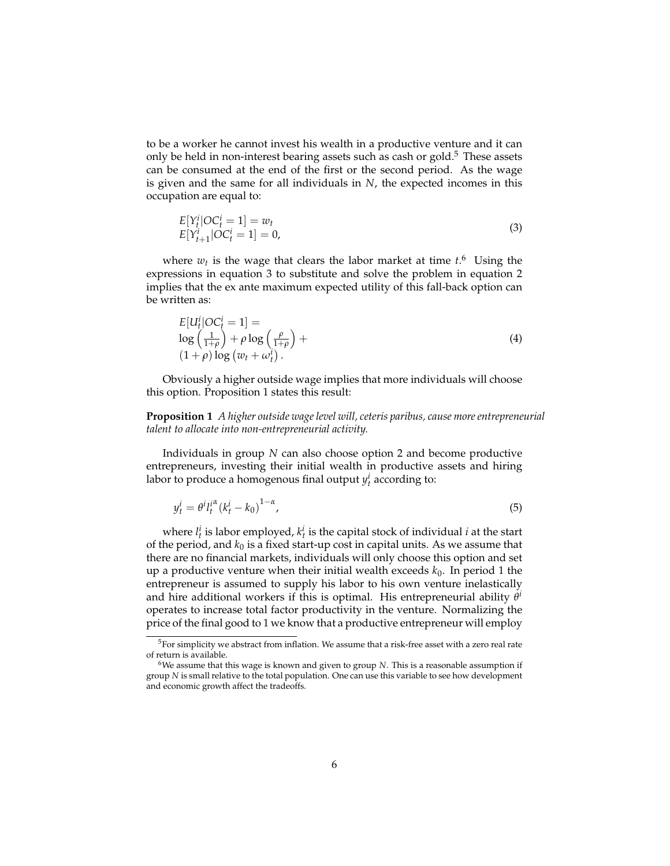to be a worker he cannot invest his wealth in a productive venture and it can only be held in non-interest bearing assets such as cash or gold.<sup>5</sup> These assets can be consumed at the end of the first or the second period. As the wage is given and the same for all individuals in *N*, the expected incomes in this occupation are equal to:

$$
E[Y_t^i|OC_t^i = 1] = w_t
$$
  
\n
$$
E[Y_{t+1}^i|OC_t^i = 1] = 0,
$$
\n(3)

where  $w_t$  is the wage that clears the labor market at time  $t$ .<sup>6</sup> Using the expressions in equation 3 to substitute and solve the problem in equation 2 implies that the ex ante maximum expected utility of this fall-back option can be written as:

*E*[*U<sup>i</sup>*

$$
E[U_t^i|OC_t^i = 1] =
$$
  
\n
$$
\log\left(\frac{1}{1+\rho}\right) + \rho \log\left(\frac{\rho}{1+\rho}\right) +
$$
  
\n
$$
(1+\rho) \log(w_t + \omega_t^i).
$$
\n(4)

Obviously a higher outside wage implies that more individuals will choose this option. Proposition 1 states this result:

**Proposition 1** *A higher outside wage level will, ceteris paribus, cause more entrepreneurial talent to allocate into non-entrepreneurial activity.*

Individuals in group *N* can also choose option 2 and become productive entrepreneurs, investing their initial wealth in productive assets and hiring labor to produce a homogenous final output  $y_t^i$  according to:

$$
y_t^i = \theta^i l_t^{i^{\alpha}} (k_t^i - k_0)^{1-\alpha}, \tag{5}
$$

where  $l_t^i$  is labor employed,  $k_t^i$  is the capital stock of individual *i* at the start of the period, and  $k_0$  is a fixed start-up cost in capital units. As we assume that there are no financial markets, individuals will only choose this option and set up a productive venture when their initial wealth exceeds  $k_0$ . In period 1 the entrepreneur is assumed to supply his labor to his own venture inelastically and hire additional workers if this is optimal. His entrepreneurial ability *θ i* operates to increase total factor productivity in the venture. Normalizing the price of the final good to 1 we know that a productive entrepreneur will employ

 $5$ For simplicity we abstract from inflation. We assume that a risk-free asset with a zero real rate of return is available.

<sup>6</sup>We assume that this wage is known and given to group *N*. This is a reasonable assumption if group *N* is small relative to the total population. One can use this variable to see how development and economic growth affect the tradeoffs.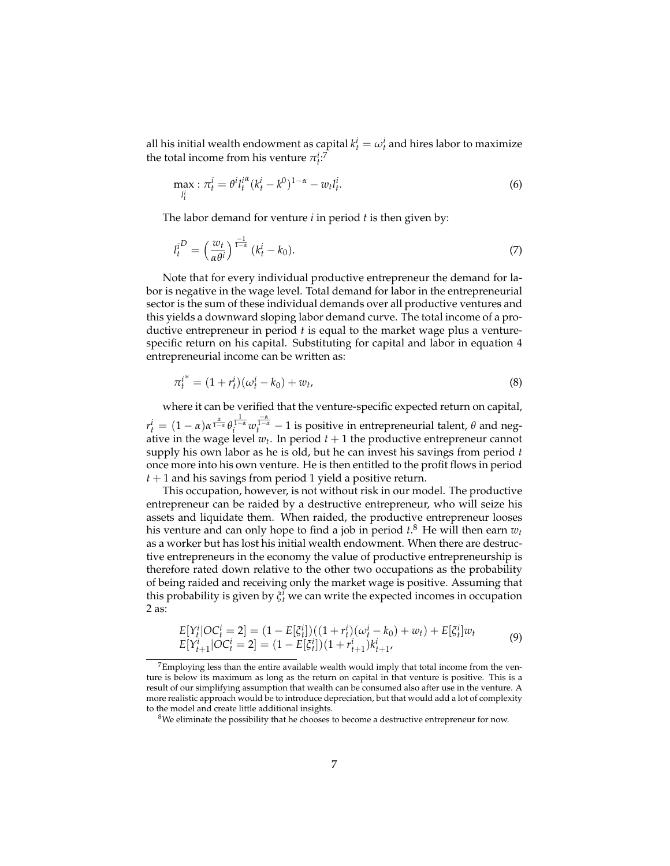all his initial wealth endowment as capital  $k_t^i = \omega_t^i$  and hires labor to maximize the total income from his venture  $\pi_t^i$ <sup>2</sup>

$$
\max_{l_t^i} : \pi_t^i = \theta^i l_t^{i^{\alpha}} (k_t^i - k^0)^{1-\alpha} - w_t l_t^i.
$$
\n(6)

The labor demand for venture *i* in period *t* is then given by:

$$
l_t^{i^D} = \left(\frac{w_t}{\alpha \theta^i}\right)^{\frac{-1}{1-\alpha}} (k_t^i - k_0). \tag{7}
$$

Note that for every individual productive entrepreneur the demand for labor is negative in the wage level. Total demand for labor in the entrepreneurial sector is the sum of these individual demands over all productive ventures and this yields a downward sloping labor demand curve. The total income of a productive entrepreneur in period *t* is equal to the market wage plus a venturespecific return on his capital. Substituting for capital and labor in equation 4 entrepreneurial income can be written as:

$$
\pi_t^{i^*} = (1 + r_t^i)(\omega_t^i - k_0) + w_t, \tag{8}
$$

where it can be verified that the venture-specific expected return on capital, *r*<sub>*t*</sub></sup> =  $(1 - α)α^{\frac{\alpha}{1 - α}}θ_i^{\frac{1}{1 - α}}w_t^{\frac{-\alpha}{1 - α}} - 1$  is positive in entrepreneurial talent, *θ* and negative in the wage level  $w_t$ . In period  $t+1$  the productive entrepreneur cannot supply his own labor as he is old, but he can invest his savings from period *t* once more into his own venture. He is then entitled to the profit flows in period *t* + 1 and his savings from period 1 yield a positive return.

This occupation, however, is not without risk in our model. The productive entrepreneur can be raided by a destructive entrepreneur, who will seize his assets and liquidate them. When raided, the productive entrepreneur looses his venture and can only hope to find a job in period *t*. <sup>8</sup> He will then earn *w<sup>t</sup>* as a worker but has lost his initial wealth endowment. When there are destructive entrepreneurs in the economy the value of productive entrepreneurship is therefore rated down relative to the other two occupations as the probability of being raided and receiving only the market wage is positive. Assuming that this probability is given by  $\xi_t^i$  we can write the expected incomes in occupation 2 as:

$$
E[Y_t^i|OC_t^i = 2] = (1 - E[\xi_t^i])((1 + r_t^i)(\omega_t^i - k_0) + w_t) + E[\xi_t^i]w_t
$$
  
\n
$$
E[Y_{t+1}^i|OC_t^i = 2] = (1 - E[\xi_t^i])(1 + r_{t+1}^i)k_{t+1}^i,
$$
\n(9)

 $^{7}$ Employing less than the entire available wealth would imply that total income from the venture is below its maximum as long as the return on capital in that venture is positive. This is a result of our simplifying assumption that wealth can be consumed also after use in the venture. A more realistic approach would be to introduce depreciation, but that would add a lot of complexity to the model and create little additional insights.

 $8$ We eliminate the possibility that he chooses to become a destructive entrepreneur for now.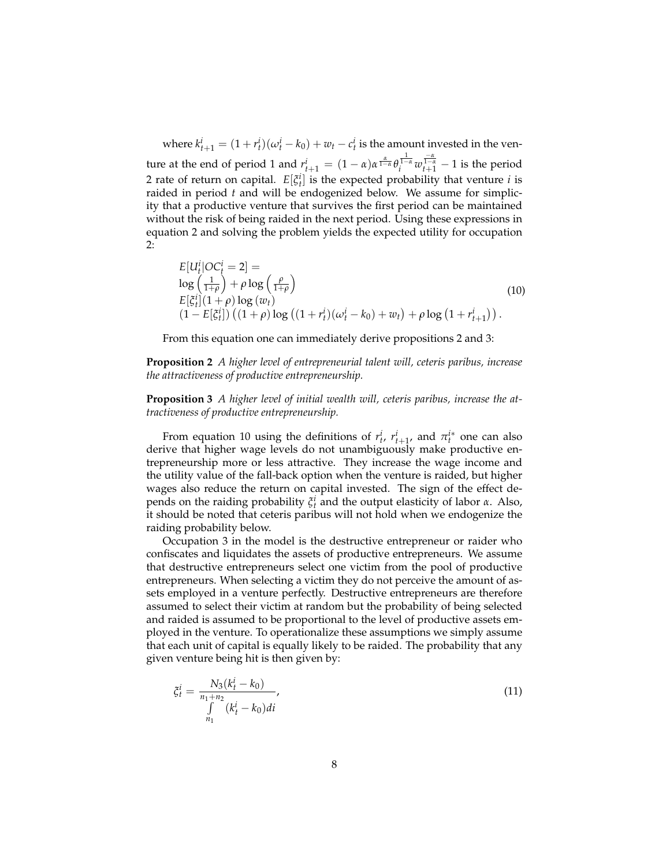where  $k_{t+1}^i = (1 + r_t^i)(\omega_t^i - k_0) + w_t - c_t^i$  is the amount invested in the venture at the end of period 1 and  $r_{t+1}^i = (1 - \alpha)\alpha^{\frac{\alpha}{1 - \alpha}}\theta_i^{\frac{1}{1 - \alpha}}w_{t+1}^{\frac{-\alpha}{1 - \alpha}} - 1$  is the period 2 rate of return on capital.  $E[\xi_t^i]$  is the expected probability that venture *i* is raided in period *t* and will be endogenized below. We assume for simplicity that a productive venture that survives the first period can be maintained without the risk of being raided in the next period. Using these expressions in equation 2 and solving the problem yields the expected utility for occupation 2:

$$
E[U_t^i|OC_t^i = 2] =
$$
  
\n
$$
\log\left(\frac{1}{1+\rho}\right) + \rho \log\left(\frac{\rho}{1+\rho}\right)
$$
  
\n
$$
E[\tilde{\zeta}_t^i](1+\rho) \log(w_t)
$$
  
\n
$$
(1 - E[\tilde{\zeta}_t^i]) ((1+\rho) \log((1+r_t^i)(\omega_t^i - k_0) + w_t) + \rho \log(1+r_{t+1}^i)).
$$
\n(10)

From this equation one can immediately derive propositions 2 and 3:

**Proposition 2** *A higher level of entrepreneurial talent will, ceteris paribus, increase the attractiveness of productive entrepreneurship.*

**Proposition 3** *A higher level of initial wealth will, ceteris paribus, increase the attractiveness of productive entrepreneurship.*

From equation 10 using the definitions of  $r_t^i$ ,  $r_{t+1}^i$ , and  $\pi_t^{i*}$  one can also derive that higher wage levels do not unambiguously make productive entrepreneurship more or less attractive. They increase the wage income and the utility value of the fall-back option when the venture is raided, but higher wages also reduce the return on capital invested. The sign of the effect depends on the raiding probability  $\zeta_t^i$  and the output elasticity of labor *α*. Also, it should be noted that ceteris paribus will not hold when we endogenize the raiding probability below.

Occupation 3 in the model is the destructive entrepreneur or raider who confiscates and liquidates the assets of productive entrepreneurs. We assume that destructive entrepreneurs select one victim from the pool of productive entrepreneurs. When selecting a victim they do not perceive the amount of assets employed in a venture perfectly. Destructive entrepreneurs are therefore assumed to select their victim at random but the probability of being selected and raided is assumed to be proportional to the level of productive assets employed in the venture. To operationalize these assumptions we simply assume that each unit of capital is equally likely to be raided. The probability that any given venture being hit is then given by:

$$
\xi_t^i = \frac{N_3(k_t^i - k_0)}{\int\limits_{n_1}^{n_1 + n_2} (k_t^i - k_0)di},\tag{11}
$$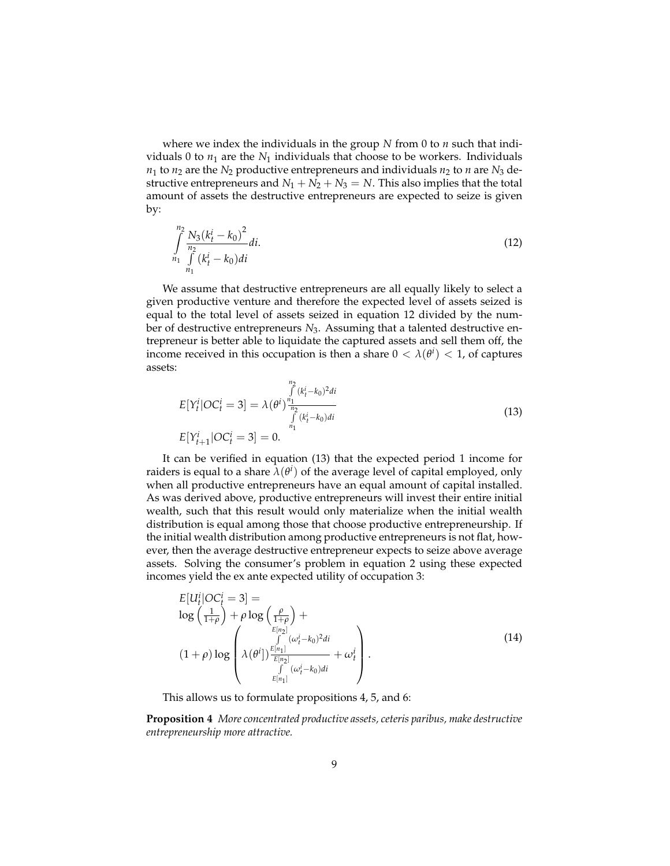where we index the individuals in the group *N* from 0 to *n* such that individuals 0 to  $n_1$  are the  $N_1$  individuals that choose to be workers. Individuals  $n_1$  to  $n_2$  are the  $N_2$  productive entrepreneurs and individuals  $n_2$  to  $n$  are  $N_3$  destructive entrepreneurs and  $N_1 + N_2 + N_3 = N$ . This also implies that the total amount of assets the destructive entrepreneurs are expected to seize is given by:

$$
\int_{n_1}^{n_2} \frac{N_3 (k_t^i - k_0)^2}{\int_{n_1}^{n_2} (k_t^i - k_0) di}
$$
 (12)

We assume that destructive entrepreneurs are all equally likely to select a given productive venture and therefore the expected level of assets seized is equal to the total level of assets seized in equation 12 divided by the number of destructive entrepreneurs *N*3. Assuming that a talented destructive entrepreneur is better able to liquidate the captured assets and sell them off, the income received in this occupation is then a share  $0 < \lambda(\theta^i) < 1$ , of captures assets:

$$
E[Y_t^i|OC_t^i = 3] = \lambda (\theta^i)^{\frac{n_1}{\int\limits_{n_1}^{n_1} (k_t^i - k_0)^2 dt}} \int\limits_{n_1}^{n_2} \frac{(k_t^i - k_0)^2 dt}{(k_t^i - k_0) dt}
$$
\n
$$
E[Y_{t+1}^i|OC_t^i = 3] = 0.
$$
\n(13)

It can be verified in equation (13) that the expected period 1 income for raiders is equal to a share  $\bar{\lambda}(\theta^i)$  of the average level of capital employed, only when all productive entrepreneurs have an equal amount of capital installed. As was derived above, productive entrepreneurs will invest their entire initial wealth, such that this result would only materialize when the initial wealth distribution is equal among those that choose productive entrepreneurship. If the initial wealth distribution among productive entrepreneurs is not flat, however, then the average destructive entrepreneur expects to seize above average assets. Solving the consumer's problem in equation 2 using these expected incomes yield the ex ante expected utility of occupation 3:

$$
E[U_t^i|OC_t^i = 3] =
$$
  
\n
$$
\log\left(\frac{1}{1+\rho}\right) + \rho \log\left(\frac{\rho}{1+\rho}\right) +
$$
  
\n
$$
(1+\rho)\log\left(\begin{array}{cc} \int_{E[n_2]}^{E[n_2]} (\omega_t^i - k_0)^2 di \\ \lambda(\theta^i]) \frac{E[n_1]}{E[n_2]} & \omega_t^i \\ \int_{E[n_1]}^{I} (\omega_t^i - k_0) di \end{array}\right).
$$
\n(14)

This allows us to formulate propositions 4, 5, and 6:

**Proposition 4** *More concentrated productive assets, ceteris paribus, make destructive entrepreneurship more attractive.*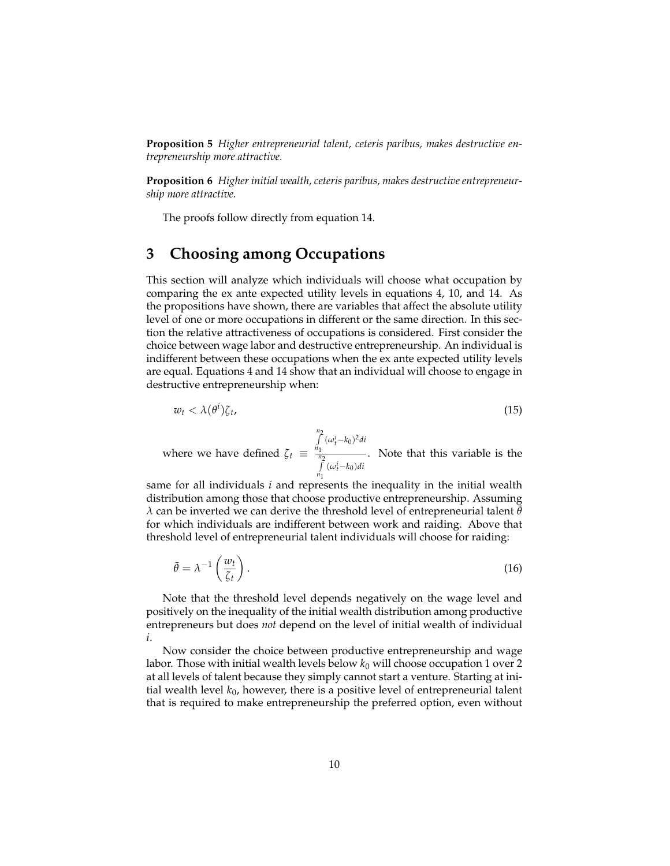**Proposition 5** *Higher entrepreneurial talent, ceteris paribus, makes destructive entrepreneurship more attractive.*

**Proposition 6** *Higher initial wealth, ceteris paribus, makes destructive entrepreneurship more attractive.*

The proofs follow directly from equation 14.

### **3 Choosing among Occupations**

This section will analyze which individuals will choose what occupation by comparing the ex ante expected utility levels in equations 4, 10, and 14. As the propositions have shown, there are variables that affect the absolute utility level of one or more occupations in different or the same direction. In this section the relative attractiveness of occupations is considered. First consider the choice between wage labor and destructive entrepreneurship. An individual is indifferent between these occupations when the ex ante expected utility levels are equal. Equations 4 and 14 show that an individual will choose to engage in destructive entrepreneurship when:

$$
w_t < \lambda(\theta^i)\zeta_t,\tag{15}
$$

where we have defined  $\zeta_t \equiv$ *n* R2 *n*1  $(\omega_t^i - k_0)^2$ *di n* R2 *n*1  $(\omega_t^i - k_0)di$ . Note that this variable is the

same for all individuals *i* and represents the inequality in the initial wealth distribution among those that choose productive entrepreneurship. Assuming  $\lambda$  can be inverted we can derive the threshold level of entrepreneurial talent  $\bar{\theta}$ for which individuals are indifferent between work and raiding. Above that threshold level of entrepreneurial talent individuals will choose for raiding:

$$
\bar{\theta} = \lambda^{-1} \left( \frac{w_t}{\zeta_t} \right). \tag{16}
$$

Note that the threshold level depends negatively on the wage level and positively on the inequality of the initial wealth distribution among productive entrepreneurs but does *not* depend on the level of initial wealth of individual *i*.

Now consider the choice between productive entrepreneurship and wage labor. Those with initial wealth levels below *k*<sup>0</sup> will choose occupation 1 over 2 at all levels of talent because they simply cannot start a venture. Starting at initial wealth level *k*0, however, there is a positive level of entrepreneurial talent that is required to make entrepreneurship the preferred option, even without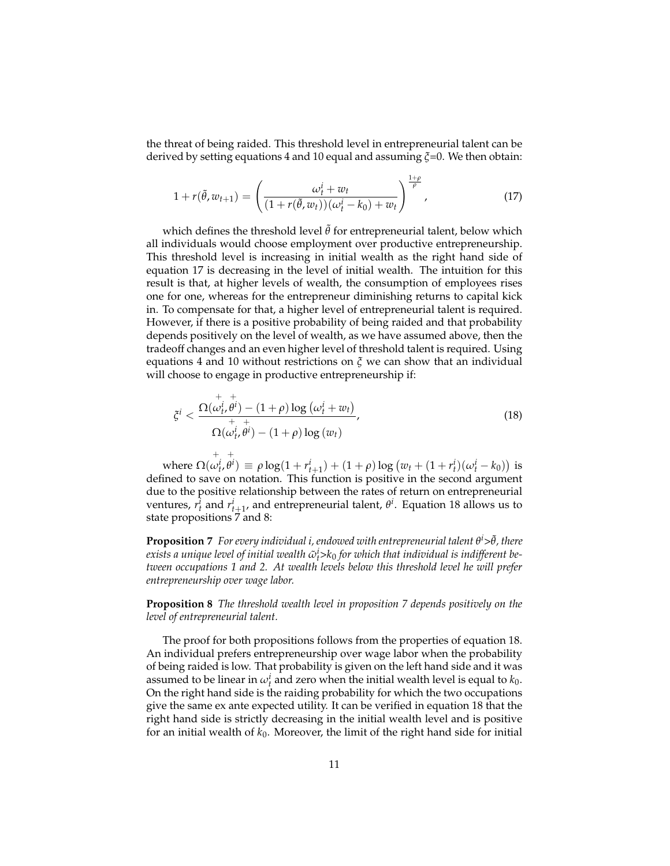the threat of being raided. This threshold level in entrepreneurial talent can be derived by setting equations 4 and 10 equal and assuming *ξ*=0. We then obtain:

$$
1 + r(\tilde{\theta}, w_{t+1}) = \left(\frac{\omega_t^i + w_t}{(1 + r(\tilde{\theta}, w_t))(\omega_t^i - k_0) + w_t}\right)^{\frac{1+\rho}{\rho}}, \tag{17}
$$

which defines the threshold level  $\tilde{\theta}$  for entrepreneurial talent, below which all individuals would choose employment over productive entrepreneurship. This threshold level is increasing in initial wealth as the right hand side of equation 17 is decreasing in the level of initial wealth. The intuition for this result is that, at higher levels of wealth, the consumption of employees rises one for one, whereas for the entrepreneur diminishing returns to capital kick in. To compensate for that, a higher level of entrepreneurial talent is required. However, if there is a positive probability of being raided and that probability depends positively on the level of wealth, as we have assumed above, then the tradeoff changes and an even higher level of threshold talent is required. Using equations 4 and 10 without restrictions on *ξ* we can show that an individual will choose to engage in productive entrepreneurship if:

$$
\zeta^{i} < \frac{\Omega(\omega_{t}^{i}, \theta^{i}) - (1+\rho) \log (\omega_{t}^{i} + w_{t})}{\Omega(\omega_{t}^{i}, \theta^{i}) - (1+\rho) \log (w_{t})},
$$
\n(18)

where  $\Omega($  $\overset{+}{\omega_{t'}^{i}}$ +  $\theta^{i}$ ) =  $\rho \log(1 + r_{t+1}^{i}) + (1 + \rho) \log (w_{t} + (1 + r_{t}^{i})(\omega_{t}^{i} - k_{0}))$  is defined to save on notation. This function is positive in the second argument due to the positive relationship between the rates of return on entrepreneurial ventures,  $r_t^i$  and  $r_{t+1}^i$ , and entrepreneurial talent,  $\theta^i$ . Equation 18 allows us to state propositions 7 and 8:

**Proposition** 7 *For every individual i, endowed with entrepreneurial talent θ<sup>i</sup>>θ, there*  $e$ xists a unique level of initial wealth  $\tilde{\omega}_t^i$ > $k_0$  for which that individual is indifferent be*tween occupations 1 and 2. At wealth levels below this threshold level he will prefer entrepreneurship over wage labor.*

**Proposition 8** *The threshold wealth level in proposition 7 depends positively on the level of entrepreneurial talent.*

The proof for both propositions follows from the properties of equation 18. An individual prefers entrepreneurship over wage labor when the probability of being raided is low. That probability is given on the left hand side and it was assumed to be linear in  $\omega_t^i$  and zero when the initial wealth level is equal to  $k_0$ . On the right hand side is the raiding probability for which the two occupations give the same ex ante expected utility. It can be verified in equation 18 that the right hand side is strictly decreasing in the initial wealth level and is positive for an initial wealth of  $k_0$ . Moreover, the limit of the right hand side for initial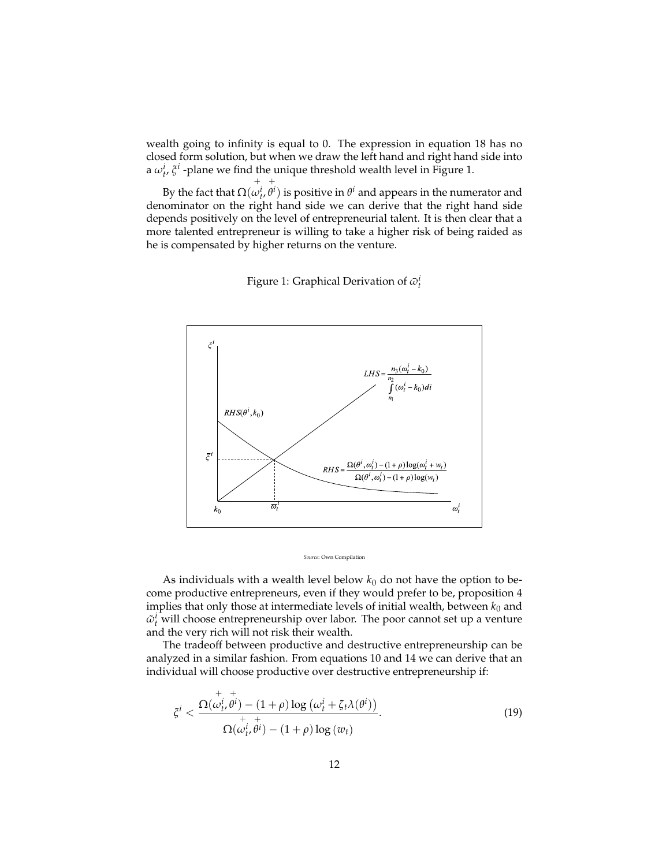wealth going to infinity is equal to 0. The expression in equation 18 has no closed form solution, but when we draw the left hand and right hand side into a  $\omega_t^i$ ,  $\zeta^i$  -plane we find the unique threshold wealth level in Figure 1. +

By the fact that  $\Omega($  $\omega_t^i$  $\theta^i)$  is positive in  $\theta^i$  and appears in the numerator and denominator on the right hand side we can derive that the right hand side depends positively on the level of entrepreneurial talent. It is then clear that a more talented entrepreneur is willing to take a higher risk of being raided as he is compensated by higher returns on the venture.



Figure 1: Graphical Derivation of  $\bar{\omega}_t^i$ 

#### *Source*: Own Compilation

As individuals with a wealth level below  $k_0$  do not have the option to become productive entrepreneurs, even if they would prefer to be, proposition 4 implies that only those at intermediate levels of initial wealth, between  $k_0$  and  $\tilde{\omega}_t^i$  will choose entrepreneurship over labor. The poor cannot set up a venture and the very rich will not risk their wealth.

The tradeoff between productive and destructive entrepreneurship can be analyzed in a similar fashion. From equations 10 and 14 we can derive that an individual will choose productive over destructive entrepreneurship if:

$$
\xi^{i} < \frac{\Omega(\omega_{t}^{i}, \theta^{i}) - (1+\rho) \log (\omega_{t}^{i} + \zeta_{t} \lambda(\theta^{i}))}{\zeta(\omega_{t}^{i}, \theta^{i}) - (1+\rho) \log (w_{t})}.
$$
\n(19)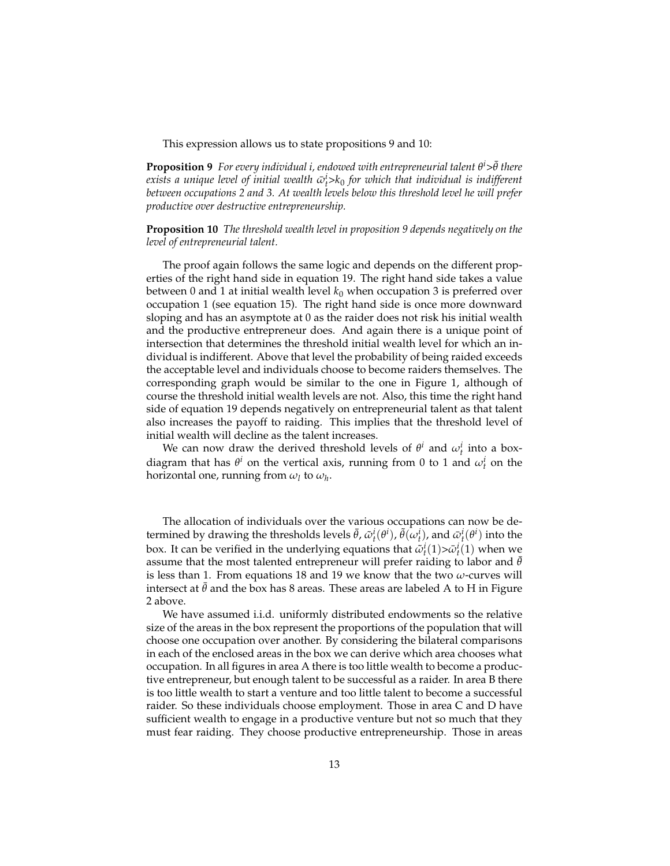This expression allows us to state propositions 9 and 10:

**Proposition 9** *For every individual i, endowed with entrepreneurial talent θ<sup>i</sup>>θ there*  $e$ xists a unique level of initial wealth  $\bar{\omega}_t^i$ >k $_0$  for which that individual is indifferent *between occupations 2 and 3. At wealth levels below this threshold level he will prefer productive over destructive entrepreneurship.*

**Proposition 10** *The threshold wealth level in proposition 9 depends negatively on the level of entrepreneurial talent.*

The proof again follows the same logic and depends on the different properties of the right hand side in equation 19. The right hand side takes a value between 0 and 1 at initial wealth level  $k_0$  when occupation 3 is preferred over occupation 1 (see equation 15). The right hand side is once more downward sloping and has an asymptote at 0 as the raider does not risk his initial wealth and the productive entrepreneur does. And again there is a unique point of intersection that determines the threshold initial wealth level for which an individual is indifferent. Above that level the probability of being raided exceeds the acceptable level and individuals choose to become raiders themselves. The corresponding graph would be similar to the one in Figure 1, although of course the threshold initial wealth levels are not. Also, this time the right hand side of equation 19 depends negatively on entrepreneurial talent as that talent also increases the payoff to raiding. This implies that the threshold level of initial wealth will decline as the talent increases.

We can now draw the derived threshold levels of  $\theta^i$  and  $\omega^i_t$  into a boxdiagram that has  $\theta^i$  on the vertical axis, running from 0 to 1 and  $\omega^i_t$  on the horizontal one, running from  $\omega_l$  to  $\omega_h$ .

The allocation of individuals over the various occupations can now be determined by drawing the thresholds levels  $\bar{\theta}$ ,  $\tilde{\omega}_t^i(\theta^i)$ ,  $\tilde{\theta}(\omega_t^i)$ , and  $\bar{\omega}_t^i(\theta^i)$  into the box. It can be verified in the underlying equations that  $\tilde{\omega}_t^i(1) > \tilde{\omega}_t^i(1)$  when we assume that the most talented entrepreneur will prefer raiding to labor and  $\theta$ is less than 1. From equations 18 and 19 we know that the two *ω*-curves will intersect at  $\bar{\theta}$  and the box has 8 areas. These areas are labeled A to H in Figure 2 above.

We have assumed i.i.d. uniformly distributed endowments so the relative size of the areas in the box represent the proportions of the population that will choose one occupation over another. By considering the bilateral comparisons in each of the enclosed areas in the box we can derive which area chooses what occupation. In all figures in area A there is too little wealth to become a productive entrepreneur, but enough talent to be successful as a raider. In area B there is too little wealth to start a venture and too little talent to become a successful raider. So these individuals choose employment. Those in area C and D have sufficient wealth to engage in a productive venture but not so much that they must fear raiding. They choose productive entrepreneurship. Those in areas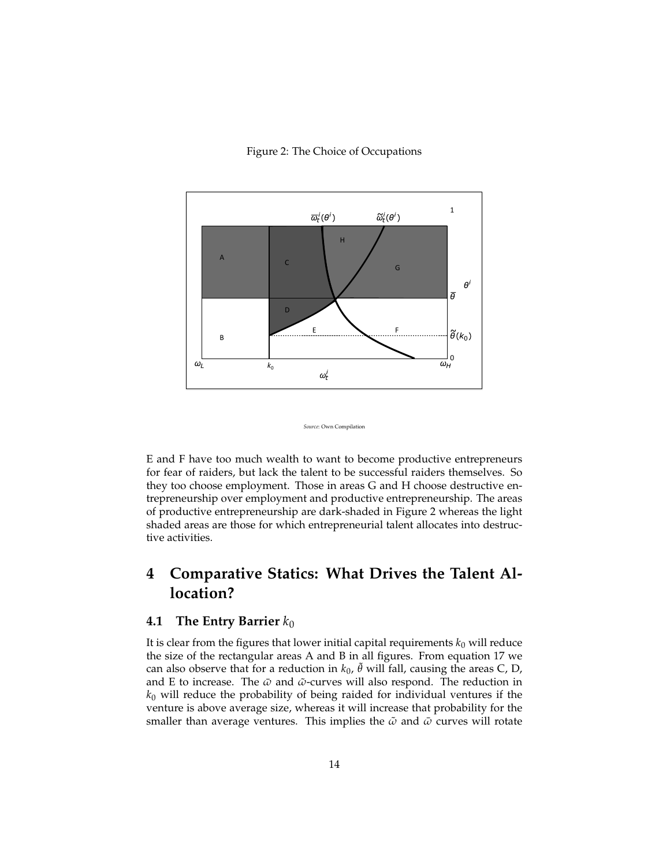#### Figure 2: The Choice of Occupations





E and F have too much wealth to want to become productive entrepreneurs for fear of raiders, but lack the talent to be successful raiders themselves. So they too choose employment. Those in areas G and H choose destructive entrepreneurship over employment and productive entrepreneurship. The areas of productive entrepreneurship are dark-shaded in Figure 2 whereas the light shaded areas are those for which entrepreneurial talent allocates into destructive activities.

## **4 Comparative Statics: What Drives the Talent Allocation?**

#### **4.1 The Entry Barrier** *k*<sup>0</sup>

It is clear from the figures that lower initial capital requirements  $k_0$  will reduce the size of the rectangular areas A and B in all figures. From equation 17 we can also observe that for a reduction in  $k_0$ ,  $\tilde{\theta}$  will fall, causing the areas C, D, and E to increase. The *ω*¯ and *ω*˜ -curves will also respond. The reduction in *k*<sup>0</sup> will reduce the probability of being raided for individual ventures if the venture is above average size, whereas it will increase that probability for the smaller than average ventures. This implies the  $\tilde{\omega}$  and  $\bar{\omega}$  curves will rotate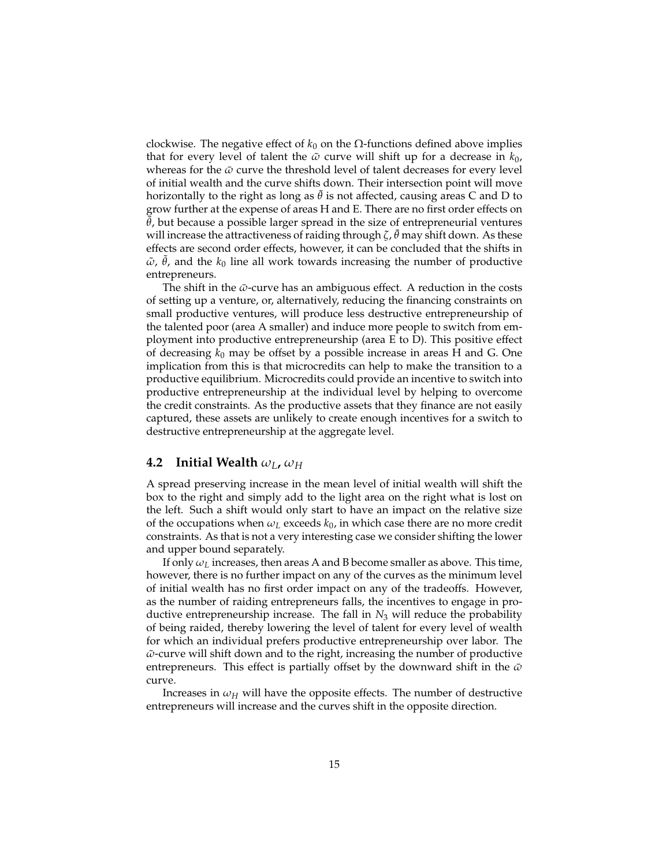clockwise. The negative effect of  $k_0$  on the  $\Omega$ -functions defined above implies that for every level of talent the  $\tilde{\omega}$  curve will shift up for a decrease in  $k_0$ , whereas for the  $\bar{\omega}$  curve the threshold level of talent decreases for every level of initial wealth and the curve shifts down. Their intersection point will move horizontally to the right as long as  $\theta$  is not affected, causing areas C and D to grow further at the expense of areas H and E. There are no first order effects on  $\bar{\theta}$ , but because a possible larger spread in the size of entrepreneurial ventures will increase the attractiveness of raiding through *ζ, θ* may shift down. As these effects are second order effects, however, it can be concluded that the shifts in  $\tilde{\omega}$ ,  $\tilde{\theta}$ , and the  $k_0$  line all work towards increasing the number of productive entrepreneurs.

The shift in the *ω*-curve has an ambiguous effect. A reduction in the costs of setting up a venture, or, alternatively, reducing the financing constraints on small productive ventures, will produce less destructive entrepreneurship of the talented poor (area A smaller) and induce more people to switch from employment into productive entrepreneurship (area E to D). This positive effect of decreasing *k*<sup>0</sup> may be offset by a possible increase in areas H and G. One implication from this is that microcredits can help to make the transition to a productive equilibrium. Microcredits could provide an incentive to switch into productive entrepreneurship at the individual level by helping to overcome the credit constraints. As the productive assets that they finance are not easily captured, these assets are unlikely to create enough incentives for a switch to destructive entrepreneurship at the aggregate level.

#### **4.2** Initial Wealth  $\omega_L$ ,  $\omega_H$

A spread preserving increase in the mean level of initial wealth will shift the box to the right and simply add to the light area on the right what is lost on the left. Such a shift would only start to have an impact on the relative size of the occupations when  $\omega_L$  exceeds  $k_0$ , in which case there are no more credit constraints. As that is not a very interesting case we consider shifting the lower and upper bound separately.

If only *ω<sup>L</sup>* increases, then areas A and B become smaller as above. This time, however, there is no further impact on any of the curves as the minimum level of initial wealth has no first order impact on any of the tradeoffs. However, as the number of raiding entrepreneurs falls, the incentives to engage in productive entrepreneurship increase. The fall in *N*<sup>3</sup> will reduce the probability of being raided, thereby lowering the level of talent for every level of wealth for which an individual prefers productive entrepreneurship over labor. The  $\tilde{\omega}$ -curve will shift down and to the right, increasing the number of productive entrepreneurs. This effect is partially offset by the downward shift in the *ω*¯ curve.

Increases in  $\omega_H$  will have the opposite effects. The number of destructive entrepreneurs will increase and the curves shift in the opposite direction.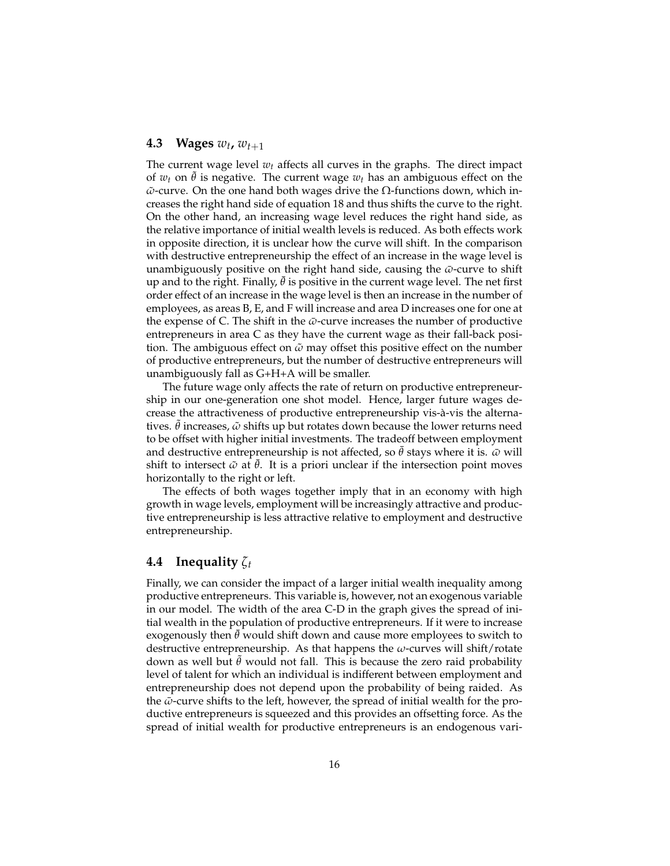### **4.3** Wages  $w_t$ ,  $w_{t+1}$

The current wage level  $w_t$  affects all curves in the graphs. The direct impact of  $w_t$  on  $\theta$  is negative. The current wage  $w_t$  has an ambiguous effect on the  $\tilde{\omega}$ -curve. On the one hand both wages drive the Ω-functions down, which increases the right hand side of equation 18 and thus shifts the curve to the right. On the other hand, an increasing wage level reduces the right hand side, as the relative importance of initial wealth levels is reduced. As both effects work in opposite direction, it is unclear how the curve will shift. In the comparison with destructive entrepreneurship the effect of an increase in the wage level is unambiguously positive on the right hand side, causing the *ω*-curve to shift up and to the right. Finally,  $\theta$  is positive in the current wage level. The net first order effect of an increase in the wage level is then an increase in the number of employees, as areas B, E, and F will increase and area D increases one for one at the expense of C. The shift in the  $\bar{\omega}$ -curve increases the number of productive entrepreneurs in area C as they have the current wage as their fall-back position. The ambiguous effect on  $\tilde{\omega}$  may offset this positive effect on the number of productive entrepreneurs, but the number of destructive entrepreneurs will unambiguously fall as G+H+A will be smaller.

The future wage only affects the rate of return on productive entrepreneurship in our one-generation one shot model. Hence, larger future wages decrease the attractiveness of productive entrepreneurship vis-à-vis the alternatives. ˜*θ* increases, *ω*˜ shifts up but rotates down because the lower returns need to be offset with higher initial investments. The tradeoff between employment and destructive entrepreneurship is not affected, so  $\theta$  stays where it is.  $\bar{\omega}$  will shift to intersect  $\tilde{\omega}$  at  $\tilde{\theta}$ . It is a priori unclear if the intersection point moves horizontally to the right or left.

The effects of both wages together imply that in an economy with high growth in wage levels, employment will be increasingly attractive and productive entrepreneurship is less attractive relative to employment and destructive entrepreneurship.

### **4.4 Inequality** *ζ<sup>t</sup>*

Finally, we can consider the impact of a larger initial wealth inequality among productive entrepreneurs. This variable is, however, not an exogenous variable in our model. The width of the area C-D in the graph gives the spread of initial wealth in the population of productive entrepreneurs. If it were to increase exogenously then  $\theta$  would shift down and cause more employees to switch to destructive entrepreneurship. As that happens the *ω*-curves will shift/rotate down as well but ˜*θ* would not fall. This is because the zero raid probability level of talent for which an individual is indifferent between employment and entrepreneurship does not depend upon the probability of being raided. As the  $\bar{\omega}$ -curve shifts to the left, however, the spread of initial wealth for the productive entrepreneurs is squeezed and this provides an offsetting force. As the spread of initial wealth for productive entrepreneurs is an endogenous vari-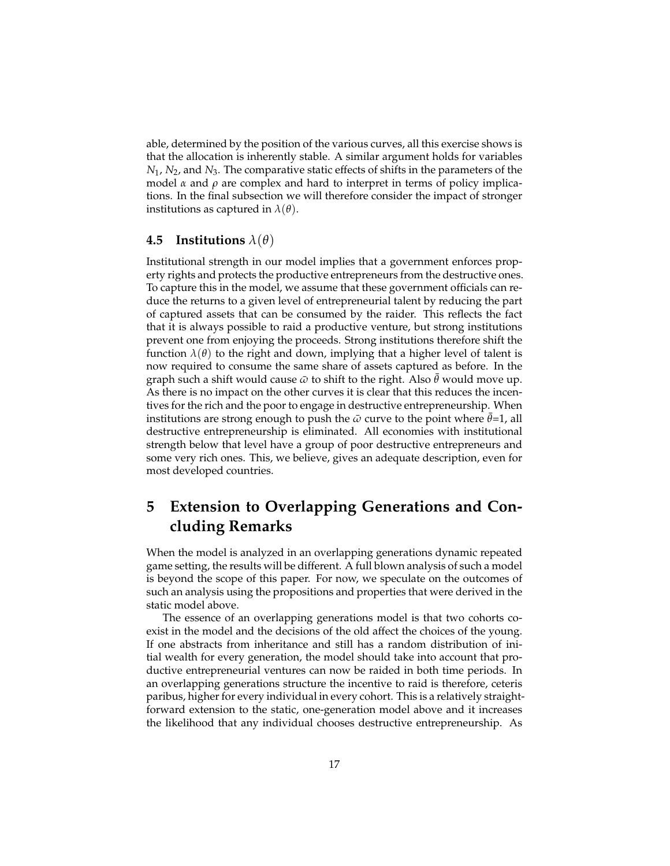able, determined by the position of the various curves, all this exercise shows is that the allocation is inherently stable. A similar argument holds for variables *N*1, *N*2, and *N*3. The comparative static effects of shifts in the parameters of the model  $\alpha$  and  $\rho$  are complex and hard to interpret in terms of policy implications. In the final subsection we will therefore consider the impact of stronger institutions as captured in  $\lambda(\theta)$ .

#### **4.5 Institutions** *λ*(*θ*)

Institutional strength in our model implies that a government enforces property rights and protects the productive entrepreneurs from the destructive ones. To capture this in the model, we assume that these government officials can reduce the returns to a given level of entrepreneurial talent by reducing the part of captured assets that can be consumed by the raider. This reflects the fact that it is always possible to raid a productive venture, but strong institutions prevent one from enjoying the proceeds. Strong institutions therefore shift the function  $\lambda(\theta)$  to the right and down, implying that a higher level of talent is now required to consume the same share of assets captured as before. In the graph such a shift would cause  $\bar{\omega}$  to shift to the right. Also  $\theta$  would move up. As there is no impact on the other curves it is clear that this reduces the incentives for the rich and the poor to engage in destructive entrepreneurship. When institutions are strong enough to push the  $\bar{\omega}$  curve to the point where  $\theta$ =1, all destructive entrepreneurship is eliminated. All economies with institutional strength below that level have a group of poor destructive entrepreneurs and some very rich ones. This, we believe, gives an adequate description, even for most developed countries.

## **5 Extension to Overlapping Generations and Concluding Remarks**

When the model is analyzed in an overlapping generations dynamic repeated game setting, the results will be different. A full blown analysis of such a model is beyond the scope of this paper. For now, we speculate on the outcomes of such an analysis using the propositions and properties that were derived in the static model above.

The essence of an overlapping generations model is that two cohorts coexist in the model and the decisions of the old affect the choices of the young. If one abstracts from inheritance and still has a random distribution of initial wealth for every generation, the model should take into account that productive entrepreneurial ventures can now be raided in both time periods. In an overlapping generations structure the incentive to raid is therefore, ceteris paribus, higher for every individual in every cohort. This is a relatively straightforward extension to the static, one-generation model above and it increases the likelihood that any individual chooses destructive entrepreneurship. As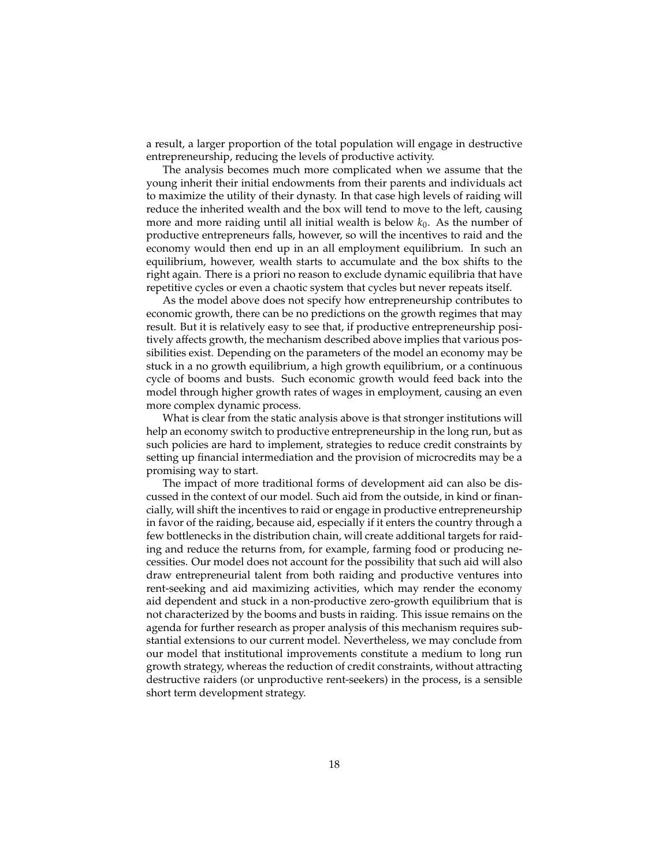a result, a larger proportion of the total population will engage in destructive entrepreneurship, reducing the levels of productive activity.

The analysis becomes much more complicated when we assume that the young inherit their initial endowments from their parents and individuals act to maximize the utility of their dynasty. In that case high levels of raiding will reduce the inherited wealth and the box will tend to move to the left, causing more and more raiding until all initial wealth is below  $k_0$ . As the number of productive entrepreneurs falls, however, so will the incentives to raid and the economy would then end up in an all employment equilibrium. In such an equilibrium, however, wealth starts to accumulate and the box shifts to the right again. There is a priori no reason to exclude dynamic equilibria that have repetitive cycles or even a chaotic system that cycles but never repeats itself.

As the model above does not specify how entrepreneurship contributes to economic growth, there can be no predictions on the growth regimes that may result. But it is relatively easy to see that, if productive entrepreneurship positively affects growth, the mechanism described above implies that various possibilities exist. Depending on the parameters of the model an economy may be stuck in a no growth equilibrium, a high growth equilibrium, or a continuous cycle of booms and busts. Such economic growth would feed back into the model through higher growth rates of wages in employment, causing an even more complex dynamic process.

What is clear from the static analysis above is that stronger institutions will help an economy switch to productive entrepreneurship in the long run, but as such policies are hard to implement, strategies to reduce credit constraints by setting up financial intermediation and the provision of microcredits may be a promising way to start.

The impact of more traditional forms of development aid can also be discussed in the context of our model. Such aid from the outside, in kind or financially, will shift the incentives to raid or engage in productive entrepreneurship in favor of the raiding, because aid, especially if it enters the country through a few bottlenecks in the distribution chain, will create additional targets for raiding and reduce the returns from, for example, farming food or producing necessities. Our model does not account for the possibility that such aid will also draw entrepreneurial talent from both raiding and productive ventures into rent-seeking and aid maximizing activities, which may render the economy aid dependent and stuck in a non-productive zero-growth equilibrium that is not characterized by the booms and busts in raiding. This issue remains on the agenda for further research as proper analysis of this mechanism requires substantial extensions to our current model. Nevertheless, we may conclude from our model that institutional improvements constitute a medium to long run growth strategy, whereas the reduction of credit constraints, without attracting destructive raiders (or unproductive rent-seekers) in the process, is a sensible short term development strategy.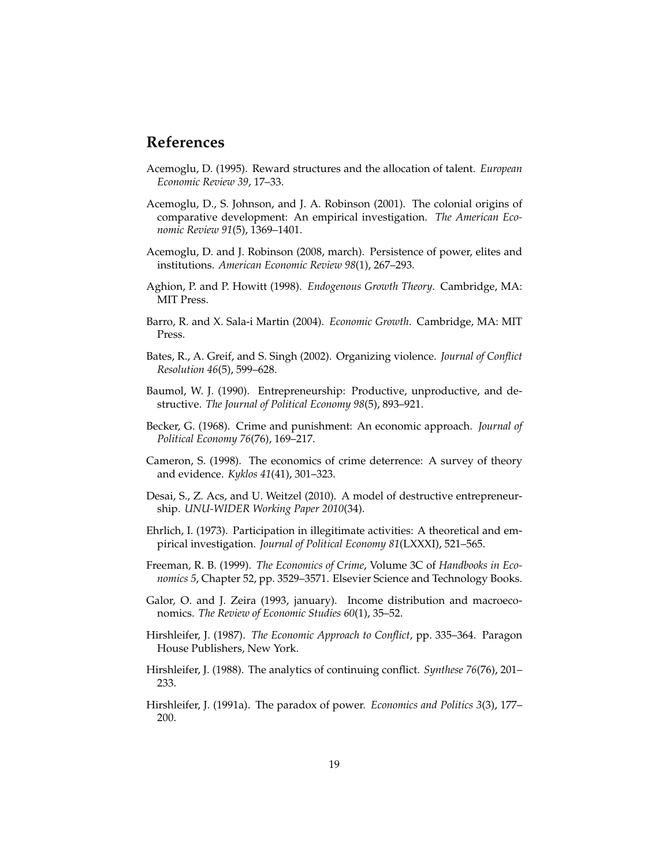### **References**

- Acemoglu, D. (1995). Reward structures and the allocation of talent. *European Economic Review 39*, 17–33.
- Acemoglu, D., S. Johnson, and J. A. Robinson (2001). The colonial origins of comparative development: An empirical investigation. *The American Economic Review 91*(5), 1369–1401.
- Acemoglu, D. and J. Robinson (2008, march). Persistence of power, elites and institutions. *American Economic Review 98*(1), 267–293.
- Aghion, P. and P. Howitt (1998). *Endogenous Growth Theory*. Cambridge, MA: MIT Press.
- Barro, R. and X. Sala-i Martin (2004). *Economic Growth*. Cambridge, MA: MIT Press.
- Bates, R., A. Greif, and S. Singh (2002). Organizing violence. *Journal of Conflict Resolution 46*(5), 599–628.
- Baumol, W. J. (1990). Entrepreneurship: Productive, unproductive, and destructive. *The Journal of Political Economy 98*(5), 893–921.
- Becker, G. (1968). Crime and punishment: An economic approach. *Journal of Political Economy 76*(76), 169–217.
- Cameron, S. (1998). The economics of crime deterrence: A survey of theory and evidence. *Kyklos 41*(41), 301–323.
- Desai, S., Z. Acs, and U. Weitzel (2010). A model of destructive entrepreneurship. *UNU-WIDER Working Paper 2010*(34).
- Ehrlich, I. (1973). Participation in illegitimate activities: A theoretical and empirical investigation. *Journal of Political Economy 81*(LXXXI), 521–565.
- Freeman, R. B. (1999). *The Economics of Crime*, Volume 3C of *Handbooks in Economics 5*, Chapter 52, pp. 3529–3571. Elsevier Science and Technology Books.
- Galor, O. and J. Zeira (1993, january). Income distribution and macroeconomics. *The Review of Economic Studies 60*(1), 35–52.
- Hirshleifer, J. (1987). *The Economic Approach to Conflict*, pp. 335–364. Paragon House Publishers, New York.
- Hirshleifer, J. (1988). The analytics of continuing conflict. *Synthese 76*(76), 201– 233.
- Hirshleifer, J. (1991a). The paradox of power. *Economics and Politics 3*(3), 177– 200.